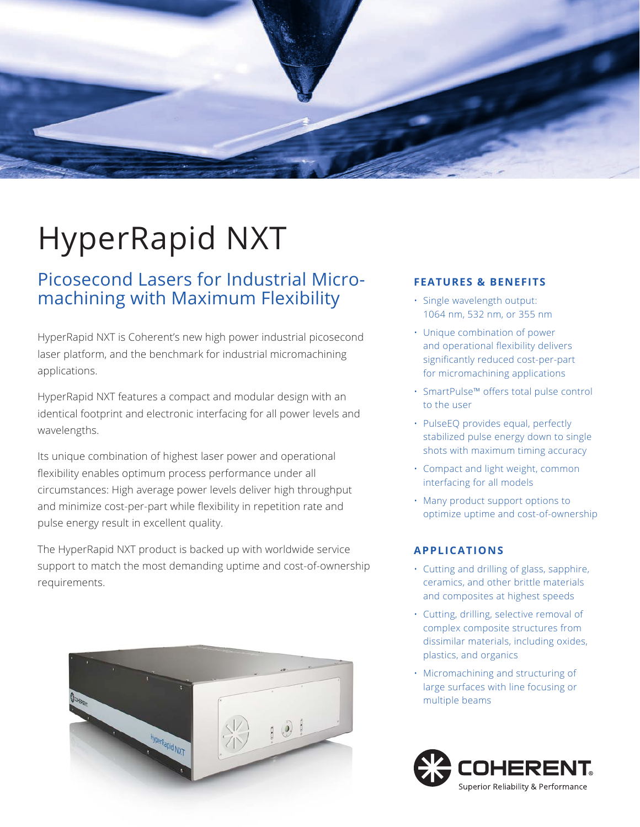

# HyperRapid NXT

## Picosecond Lasers for Industrial Micromachining with Maximum Flexibility

HyperRapid NXT is Coherent's new high power industrial picosecond laser platform, and the benchmark for industrial micromachining applications.

HyperRapid NXT features a compact and modular design with an identical footprint and electronic interfacing for all power levels and wavelengths.

Its unique combination of highest laser power and operational flexibility enables optimum process performance under all circumstances: High average power levels deliver high throughput and minimize cost-per-part while flexibility in repetition rate and pulse energy result in excellent quality.

The HyperRapid NXT product is backed up with worldwide service support to match the most demanding uptime and cost-of-ownership requirements.



#### **FEATURES & BENEFITS**

- Single wavelength output: 1064 nm, 532 nm, or 355 nm
- Unique combination of power and operational flexibility delivers significantly reduced cost-per-part for micromachining applications
- SmartPulse™ offers total pulse control to the user
- PulseEQ provides equal, perfectly stabilized pulse energy down to single shots with maximum timing accuracy
- Compact and light weight, common interfacing for all models
- Many product support options to optimize uptime and cost-of-ownership

### **APPLICATIONS**

- Cutting and drilling of glass, sapphire, ceramics, and other brittle materials and composites at highest speeds
- Cutting, drilling, selective removal of complex composite structures from dissimilar materials, including oxides, plastics, and organics
- Micromachining and structuring of large surfaces with line focusing or multiple beams

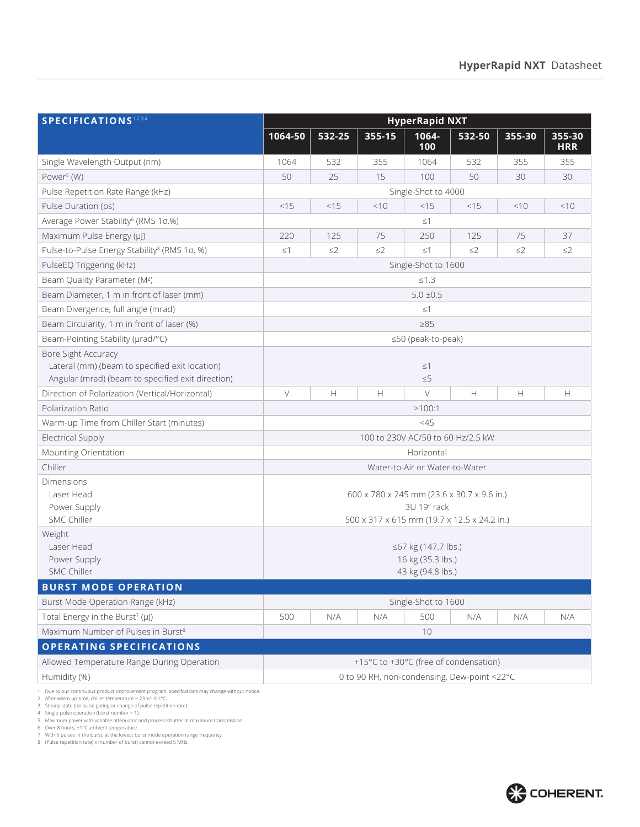| SPECIFICATIONS <sup>1,2,3,4</sup>                                                                                          | <b>HyperRapid NXT</b>                                                                                    |          |          |                     |          |          |                      |
|----------------------------------------------------------------------------------------------------------------------------|----------------------------------------------------------------------------------------------------------|----------|----------|---------------------|----------|----------|----------------------|
|                                                                                                                            | 1064-50                                                                                                  | 532-25   | 355-15   | 1064-<br>100        | 532-50   | 355-30   | 355-30<br><b>HRR</b> |
| Single Wavelength Output (nm)                                                                                              | 1064                                                                                                     | 532      | 355      | 1064                | 532      | 355      | 355                  |
| Power <sup>5</sup> (W)                                                                                                     | 50                                                                                                       | 25       | 15       | 100                 | 50       | 30       | 30                   |
| Pulse Repetition Rate Range (kHz)                                                                                          | Single-Shot to 4000                                                                                      |          |          |                     |          |          |                      |
| Pulse Duration (ps)                                                                                                        | <15                                                                                                      | <15      | < 10     | $<$ 15              | < 15     | <10      | <10                  |
| Average Power Stability <sup>6</sup> (RMS 1o,%)                                                                            | $\leq$ 1                                                                                                 |          |          |                     |          |          |                      |
| Maximum Pulse Energy (µJ)                                                                                                  | 220                                                                                                      | 125      | 75       | 250                 | 125      | 75       | 37                   |
| Pulse-to-Pulse Energy Stability <sup>8</sup> (RMS 1o, %)                                                                   | $\leq$ 1                                                                                                 | $\leq$ 2 | $\leq$ 2 | $\leq$ 1            | $\leq$ 2 | $\leq$ 2 | $\leq$ 2             |
| PulseEQ Triggering (kHz)                                                                                                   | Single-Shot to 1600                                                                                      |          |          |                     |          |          |                      |
| Beam Quality Parameter (M <sup>2</sup> )                                                                                   | ≤1.3                                                                                                     |          |          |                     |          |          |                      |
| Beam Diameter, 1 m in front of laser (mm)                                                                                  | $5.0 \pm 0.5$                                                                                            |          |          |                     |          |          |                      |
| Beam Divergence, full angle (mrad)                                                                                         | $\leq$ 1                                                                                                 |          |          |                     |          |          |                      |
| Beam Circularity, 1 m in front of laser (%)                                                                                | $\geq 85$                                                                                                |          |          |                     |          |          |                      |
| Beam-Pointing Stability (µrad/°C)                                                                                          | ≤50 (peak-to-peak)                                                                                       |          |          |                     |          |          |                      |
| Bore Sight Accuracy<br>Lateral (mm) (beam to specified exit location)<br>Angular (mrad) (beam to specified exit direction) | $\leq$ $\uparrow$<br>$\leq 5$                                                                            |          |          |                     |          |          |                      |
| Direction of Polarization (Vertical/Horizontal)                                                                            | $\vee$                                                                                                   | H        | Н        | $\vee$              | H        | H        | H                    |
| Polarization Ratio                                                                                                         | >100:1                                                                                                   |          |          |                     |          |          |                      |
| Warm-up Time from Chiller Start (minutes)                                                                                  | <45                                                                                                      |          |          |                     |          |          |                      |
| <b>Electrical Supply</b>                                                                                                   | 100 to 230V AC/50 to 60 Hz/2.5 kW                                                                        |          |          |                     |          |          |                      |
| Mounting Orientation                                                                                                       | Horizontal                                                                                               |          |          |                     |          |          |                      |
| Chiller                                                                                                                    | Water-to-Air or Water-to-Water                                                                           |          |          |                     |          |          |                      |
| Dimensions<br>Laser Head<br>Power Supply<br><b>SMC Chiller</b>                                                             | 600 x 780 x 245 mm (23.6 x 30.7 x 9.6 in.)<br>3U 19" rack<br>500 x 317 x 615 mm (19.7 x 12.5 x 24.2 in.) |          |          |                     |          |          |                      |
| Weight<br>Laser Head<br>Power Supply<br><b>SMC Chiller</b>                                                                 | ≤67 kg (147.7 lbs.)<br>16 kg (35.3 lbs.)<br>43 kg (94.8 lbs.)                                            |          |          |                     |          |          |                      |
| <b>BURST MODE OPERATION</b>                                                                                                |                                                                                                          |          |          |                     |          |          |                      |
| Burst Mode Operation Range (kHz)                                                                                           |                                                                                                          |          |          | Single-Shot to 1600 |          |          |                      |
| Total Energy in the Burst <sup>7</sup> (µJ)                                                                                | 500                                                                                                      | N/A      | N/A      | 500                 | N/A      | N/A      | N/A                  |
| Maximum Number of Pulses in Burst <sup>8</sup>                                                                             |                                                                                                          |          |          | 10                  |          |          |                      |
| <b>OPERATING SPECIFICATIONS</b>                                                                                            |                                                                                                          |          |          |                     |          |          |                      |
| Allowed Temperature Range During Operation                                                                                 | +15°C to +30°C (free of condensation)                                                                    |          |          |                     |          |          |                      |
| Humidity (%)                                                                                                               | 0 to 90 RH, non-condensing, Dew-point <22°C                                                              |          |          |                     |          |          |                      |

1 Due to our continuous product improvement program, specifications may change without notice.<br>2 After warm-up time, chiller temperature = 23 +/- 0.1°C.<br>3 Steady-state (no pulse gating or change of pulse repetition rate).<br>

6 Over 8 hours, ±1°C ambient temperature.<br>7 With 5 pulses in the burst, at the lowest burst mode operation range frequency.<br>8 (Pulse repetition rate) x (number of burst) cannot exceed 5 MHz.

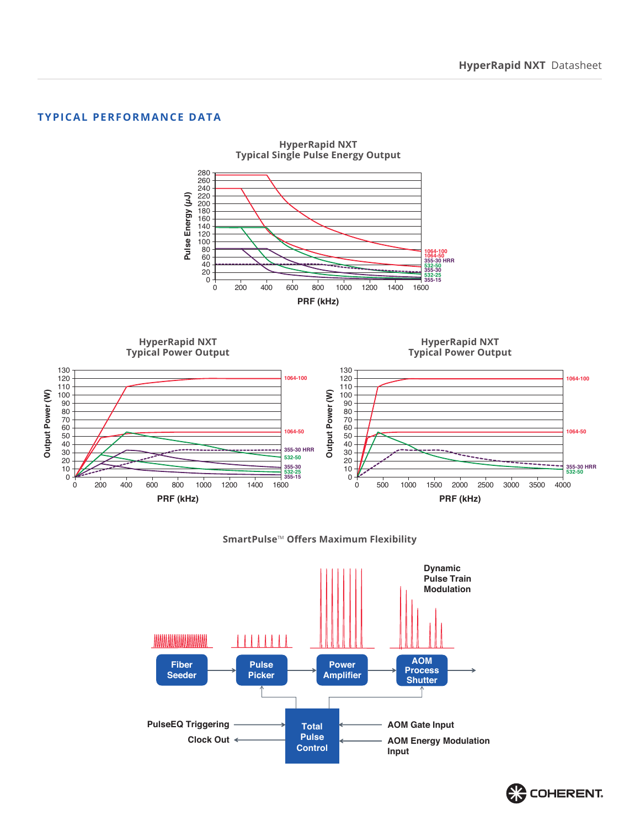#### **TYPICAL PERFORMANCE DATA**



#### **SmartPulse**™ **Offers Maximum Flexibility**